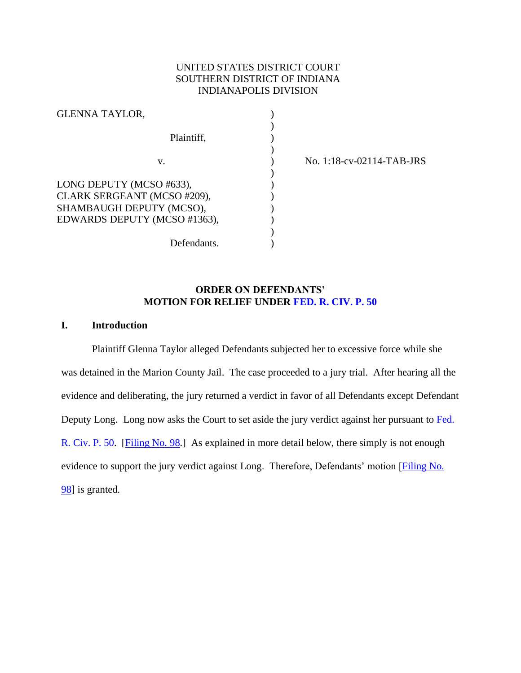# UNITED STATES DISTRICT COURT SOUTHERN DISTRICT OF INDIANA INDIANAPOLIS DIVISION

)

)

 $\mathcal{L}$ 

)

| <b>GLENNA TAYLOR,</b>                                                                                               |  |
|---------------------------------------------------------------------------------------------------------------------|--|
| Plaintiff,                                                                                                          |  |
| V.                                                                                                                  |  |
| LONG DEPUTY (MCSO #633),<br>CLARK SERGEANT (MCSO #209),<br>SHAMBAUGH DEPUTY (MCSO),<br>EDWARDS DEPUTY (MCSO #1363), |  |

v. ) No. 1:18-cv-02114-TAB-JRS

## **ORDER ON DEFENDANTS' MOTION FOR RELIEF UNDER [FED. R. CIV. P. 50](https://www.westlaw.com/Document/ND49532A0B96611D8983DF34406B5929B/View/FullText.html?transitionType=Default&contextData=(sc.Default)&VR=3.0&RS=da3.0)**

Defendants.

### **I. Introduction**

Plaintiff Glenna Taylor alleged Defendants subjected her to excessive force while she was detained in the Marion County Jail. The case proceeded to a jury trial. After hearing all the evidence and deliberating, the jury returned a verdict in favor of all Defendants except Defendant Deputy Long. Long now asks the Court to set aside the jury verdict against her pursuant to [Fed.](https://www.westlaw.com/Document/ND49532A0B96611D8983DF34406B5929B/View/FullText.html?transitionType=Default&contextData=(sc.Default)&VR=3.0&RS=da3.0)  [R. Civ. P. 50.](https://www.westlaw.com/Document/ND49532A0B96611D8983DF34406B5929B/View/FullText.html?transitionType=Default&contextData=(sc.Default)&VR=3.0&RS=da3.0) [\[Filing No. 98.](https://ecf.insd.uscourts.gov/doc1/07317747986)] As explained in more detail below, there simply is not enough evidence to support the jury verdict against Long. Therefore, Defendants' motion [Filing No.] [98\]](https://ecf.insd.uscourts.gov/doc1/07317747986) is granted.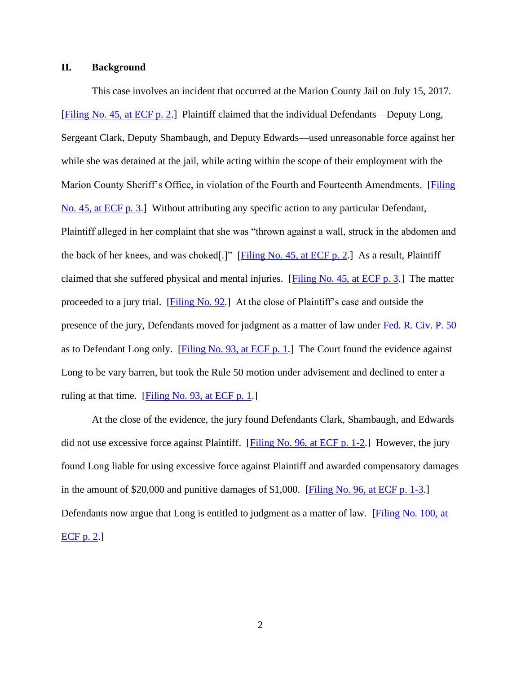### **II. Background**

This case involves an incident that occurred at the Marion County Jail on July 15, 2017. [\[Filing No. 45, at ECF p. 2.](https://ecf.insd.uscourts.gov/doc1/07317356467?page=2)] Plaintiff claimed that the individual Defendants—Deputy Long, Sergeant Clark, Deputy Shambaugh, and Deputy Edwards—used unreasonable force against her while she was detained at the jail, while acting within the scope of their employment with the Marion County Sheriff's Office, in violation of the Fourth and Fourteenth Amendments. [Filing] [No. 45, at ECF p. 3.](https://ecf.insd.uscourts.gov/doc1/07317356467?page=3)] Without attributing any specific action to any particular Defendant, Plaintiff alleged in her complaint that she was "thrown against a wall, struck in the abdomen and the back of her knees, and was choked[.]" [\[Filing No. 45, at ECF p. 2.](https://ecf.insd.uscourts.gov/doc1/07317356467?page=2)] As a result, Plaintiff claimed that she suffered physical and mental injuries. [\[Filing No. 45, at ECF p. 3.](https://ecf.insd.uscourts.gov/doc1/07317356467?page=3)] The matter proceeded to a jury trial. [\[Filing No. 92.](https://ecf.insd.uscourts.gov/doc1/07317729995)] At the close of Plaintiff's case and outside the presence of the jury, Defendants moved for judgment as a matter of law under [Fed. R. Civ. P. 50](https://www.westlaw.com/Document/ND49532A0B96611D8983DF34406B5929B/View/FullText.html?transitionType=Default&contextData=(sc.Default)&VR=3.0&RS=da3.0) as to Defendant Long only. [\[Filing No. 93, at ECF p. 1.](https://ecf.insd.uscourts.gov/doc1/07317730046?page=1)] The Court found the evidence against Long to be vary barren, but took the Rule 50 motion under advisement and declined to enter a ruling at that time. [\[Filing No. 93, at ECF p. 1.](https://ecf.insd.uscourts.gov/doc1/07317730046?page=1)]

At the close of the evidence, the jury found Defendants Clark, Shambaugh, and Edwards did not use excessive force against Plaintiff. [\[Filing No. 96, at ECF p. 1-2.](https://ecf.insd.uscourts.gov/doc1/07317730171?page=1)] However, the jury found Long liable for using excessive force against Plaintiff and awarded compensatory damages in the amount of \$20,000 and punitive damages of \$1,000. [\[Filing No. 96, at ECF p. 1-3.](https://ecf.insd.uscourts.gov/doc1/07317730171?page=1)] Defendants now argue that Long is entitled to judgment as a matter of law. [Filing No. 100, at [ECF p. 2.](https://ecf.insd.uscourts.gov/doc1/07317748212?page=2)]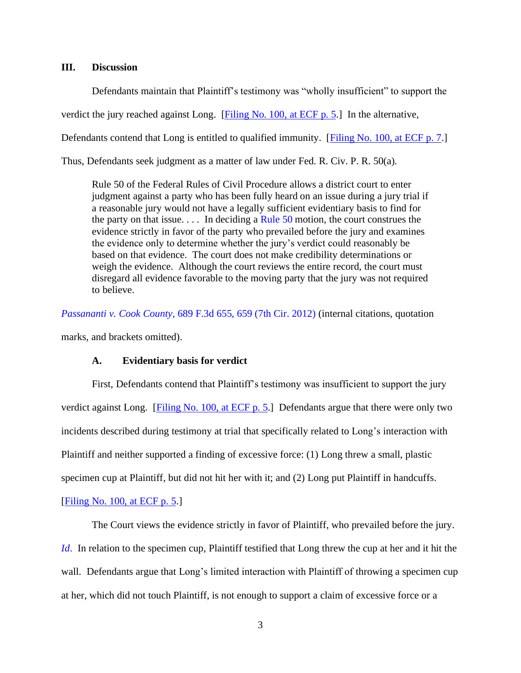### **III. Discussion**

Defendants maintain that Plaintiff's testimony was "wholly insufficient" to support the verdict the jury reached against Long. [\[Filing No. 100, at ECF p. 5.](https://ecf.insd.uscourts.gov/doc1/07317748212?page=5)] In the alternative,

Defendants contend that Long is entitled to qualified immunity. [\[Filing No. 100, at ECF p. 7.](https://ecf.insd.uscourts.gov/doc1/07317748212?page=7)]

Thus, Defendants seek judgment as a matter of law under Fed. R. Civ. P. R. 50(a).

Rule 50 of the Federal Rules of Civil Procedure allows a district court to enter judgment against a party who has been fully heard on an issue during a jury trial if a reasonable jury would not have a legally sufficient evidentiary basis to find for the party on that issue.  $\ldots$  In deciding a [Rule 50](https://www.westlaw.com/Document/ND49532A0B96611D8983DF34406B5929B/View/FullText.html?transitionType=Default&contextData=(sc.Default)&VR=3.0&RS=da3.0) motion, the court construes the evidence strictly in favor of the party who prevailed before the jury and examines the evidence only to determine whether the jury's verdict could reasonably be based on that evidence. The court does not make credibility determinations or weigh the evidence. Although the court reviews the entire record, the court must disregard all evidence favorable to the moving party that the jury was not required to believe.

*Passananti v. Cook County*[, 689 F.3d 655, 659 \(7th Cir. 2012\)](https://www.westlaw.com/Document/Ie8411c4ad2aa11e1b60ab297d3d07bc5/View/FullText.html?transitionType=Default&contextData=(sc.Default)&VR=3.0&RS=da3.0&fragmentIdentifier=co_pp_sp_506_659) (internal citations, quotation marks, and brackets omitted).

### **A. Evidentiary basis for verdict**

First, Defendants contend that Plaintiff's testimony was insufficient to support the jury verdict against Long. [\[Filing No. 100, at ECF p. 5.](https://ecf.insd.uscourts.gov/doc1/07317748212?page=5)] Defendants argue that there were only two incidents described during testimony at trial that specifically related to Long's interaction with Plaintiff and neither supported a finding of excessive force: (1) Long threw a small, plastic specimen cup at Plaintiff, but did not hit her with it; and (2) Long put Plaintiff in handcuffs.

[\[Filing No. 100, at ECF p. 5.](https://ecf.insd.uscourts.gov/doc1/07317748212?page=5)]

The Court views the evidence strictly in favor of Plaintiff, who prevailed before the jury. *[Id](https://www.westlaw.com/Document/Ie8411c4ad2aa11e1b60ab297d3d07bc5/View/FullText.html?transitionType=Default&contextData=(sc.Default)&VR=3.0&RS=da3.0)*. In relation to the specimen cup, Plaintiff testified that Long threw the cup at her and it hit the wall. Defendants argue that Long's limited interaction with Plaintiff of throwing a specimen cup at her, which did not touch Plaintiff, is not enough to support a claim of excessive force or a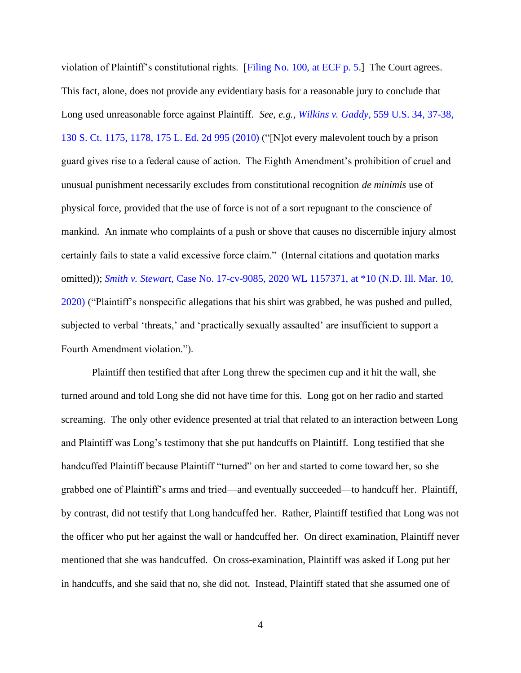violation of Plaintiff's constitutional rights. [\[Filing No. 100, at ECF p. 5.](https://ecf.insd.uscourts.gov/doc1/07317748212?page=5)] The Court agrees. This fact, alone, does not provide any evidentiary basis for a reasonable jury to conclude that Long used unreasonable force against Plaintiff. *See, e.g., Wilkins v. Gaddy*[, 559 U.S. 34, 37-38,](https://www.westlaw.com/Document/I865ea3f21fc211df9988d233d23fe599/View/FullText.html?transitionType=Default&contextData=(sc.Default)&VR=3.0&RS=da3.0&fragmentIdentifier=co_pp_sp_780_37)  [130 S. Ct. 1175, 1178, 175 L. Ed. 2d 995 \(2010\)](https://www.westlaw.com/Document/I865ea3f21fc211df9988d233d23fe599/View/FullText.html?transitionType=Default&contextData=(sc.Default)&VR=3.0&RS=da3.0&fragmentIdentifier=co_pp_sp_780_37) ("[N]ot every malevolent touch by a prison guard gives rise to a federal cause of action. The Eighth Amendment's prohibition of cruel and unusual punishment necessarily excludes from constitutional recognition *de minimis* use of physical force, provided that the use of force is not of a sort repugnant to the conscience of mankind. An inmate who complaints of a push or shove that causes no discernible injury almost certainly fails to state a valid excessive force claim." (Internal citations and quotation marks omitted)); *Smith v. Stewart*[, Case No. 17-cv-9085, 2020 WL 1157371, at \\*10 \(N.D. Ill. Mar. 10,](https://www.westlaw.com/Document/I3608e350637f11ea8f7795ea0ae0abee/View/FullText.html?transitionType=Default&contextData=(sc.Default)&VR=3.0&RS=da3.0&fragmentIdentifier=co_pp_sp_999_10)  [2020\)](https://www.westlaw.com/Document/I3608e350637f11ea8f7795ea0ae0abee/View/FullText.html?transitionType=Default&contextData=(sc.Default)&VR=3.0&RS=da3.0&fragmentIdentifier=co_pp_sp_999_10) ("Plaintiff's nonspecific allegations that his shirt was grabbed, he was pushed and pulled, subjected to verbal 'threats,' and 'practically sexually assaulted' are insufficient to support a Fourth Amendment violation.").

Plaintiff then testified that after Long threw the specimen cup and it hit the wall, she turned around and told Long she did not have time for this. Long got on her radio and started screaming. The only other evidence presented at trial that related to an interaction between Long and Plaintiff was Long's testimony that she put handcuffs on Plaintiff. Long testified that she handcuffed Plaintiff because Plaintiff "turned" on her and started to come toward her, so she grabbed one of Plaintiff's arms and tried—and eventually succeeded—to handcuff her. Plaintiff, by contrast, did not testify that Long handcuffed her. Rather, Plaintiff testified that Long was not the officer who put her against the wall or handcuffed her. On direct examination, Plaintiff never mentioned that she was handcuffed. On cross-examination, Plaintiff was asked if Long put her in handcuffs, and she said that no, she did not. Instead, Plaintiff stated that she assumed one of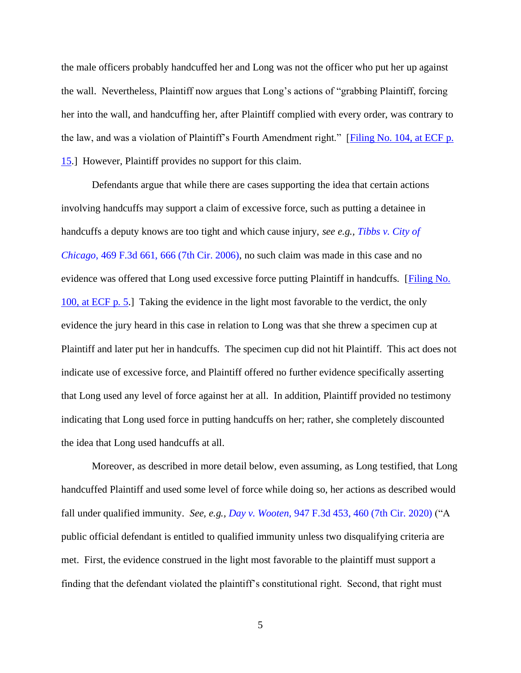the male officers probably handcuffed her and Long was not the officer who put her up against the wall. Nevertheless, Plaintiff now argues that Long's actions of "grabbing Plaintiff, forcing her into the wall, and handcuffing her, after Plaintiff complied with every order, was contrary to the law, and was a violation of Plaintiff's Fourth Amendment right." [\[Filing No. 104, at ECF p.](https://ecf.insd.uscourts.gov/doc1/07317778597?page=15)  [15.](https://ecf.insd.uscourts.gov/doc1/07317778597?page=15)] However, Plaintiff provides no support for this claim.

Defendants argue that while there are cases supporting the idea that certain actions involving handcuffs may support a claim of excessive force, such as putting a detainee in handcuffs a deputy knows are too tight and which cause injury, *see e.g., [Tibbs v. City of](https://www.westlaw.com/Document/I97e8e0827e4b11dbb29ecfd71e79cb92/View/FullText.html?transitionType=Default&contextData=(sc.Default)&VR=3.0&RS=da3.0&fragmentIdentifier=co_pp_sp_506_666)  Chicago*[, 469 F.3d 661, 666 \(7th Cir. 2006\),](https://www.westlaw.com/Document/I97e8e0827e4b11dbb29ecfd71e79cb92/View/FullText.html?transitionType=Default&contextData=(sc.Default)&VR=3.0&RS=da3.0&fragmentIdentifier=co_pp_sp_506_666) no such claim was made in this case and no evidence was offered that Long used excessive force putting Plaintiff in handcuffs. [\[Filing No.](https://ecf.insd.uscourts.gov/doc1/07317748212?page=5)  [100, at ECF p. 5.](https://ecf.insd.uscourts.gov/doc1/07317748212?page=5)] Taking the evidence in the light most favorable to the verdict, the only evidence the jury heard in this case in relation to Long was that she threw a specimen cup at Plaintiff and later put her in handcuffs. The specimen cup did not hit Plaintiff. This act does not indicate use of excessive force, and Plaintiff offered no further evidence specifically asserting that Long used any level of force against her at all. In addition, Plaintiff provided no testimony indicating that Long used force in putting handcuffs on her; rather, she completely discounted the idea that Long used handcuffs at all.

Moreover, as described in more detail below, even assuming, as Long testified, that Long handcuffed Plaintiff and used some level of force while doing so, her actions as described would fall under qualified immunity. *See, e.g., Day v. Wooten*[, 947 F.3d 453, 460 \(7th Cir. 2020\)](https://www.westlaw.com/Document/If9caa48033f611eaa49a848616f1a2d2/View/FullText.html?transitionType=Default&contextData=(sc.Default)&VR=3.0&RS=da3.0&fragmentIdentifier=co_pp_sp_506_460) ("A public official defendant is entitled to qualified immunity unless two disqualifying criteria are met. First, the evidence construed in the light most favorable to the plaintiff must support a finding that the defendant violated the plaintiff's constitutional right. Second, that right must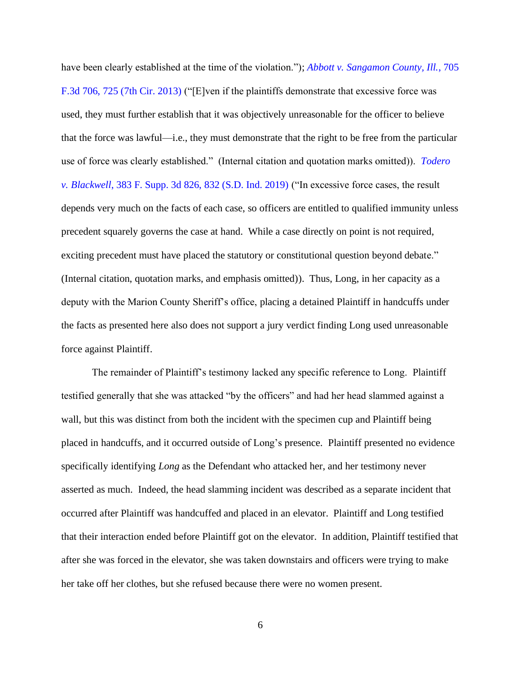have been clearly established at the time of the violation."); *[Abbott v. Sangamon County, Ill.](https://www.westlaw.com/Document/I8193d2736a2c11e2a531ef6793d44951/View/FullText.html?transitionType=Default&contextData=(sc.Default)&VR=3.0&RS=da3.0&fragmentIdentifier=co_pp_sp_506_725)*, 705 [F.3d 706, 725 \(7th Cir. 2013\)](https://www.westlaw.com/Document/I8193d2736a2c11e2a531ef6793d44951/View/FullText.html?transitionType=Default&contextData=(sc.Default)&VR=3.0&RS=da3.0&fragmentIdentifier=co_pp_sp_506_725) ("[E]ven if the plaintiffs demonstrate that excessive force was used, they must further establish that it was objectively unreasonable for the officer to believe that the force was lawful—i.e., they must demonstrate that the right to be free from the particular use of force was clearly established." (Internal citation and quotation marks omitted)). *[Todero](https://www.westlaw.com/Document/Ib2a1c70082bc11e981b9f3f7c11376fd/View/FullText.html?transitionType=Default&contextData=(sc.Default)&VR=3.0&RS=da3.0&fragmentIdentifier=co_pp_sp_7903_832)  v. Blackwell*[, 383 F. Supp. 3d 826, 832 \(S.D. Ind. 2019\)](https://www.westlaw.com/Document/Ib2a1c70082bc11e981b9f3f7c11376fd/View/FullText.html?transitionType=Default&contextData=(sc.Default)&VR=3.0&RS=da3.0&fragmentIdentifier=co_pp_sp_7903_832) ("In excessive force cases, the result depends very much on the facts of each case, so officers are entitled to qualified immunity unless precedent squarely governs the case at hand. While a case directly on point is not required, exciting precedent must have placed the statutory or constitutional question beyond debate." (Internal citation, quotation marks, and emphasis omitted)). Thus, Long, in her capacity as a deputy with the Marion County Sheriff's office, placing a detained Plaintiff in handcuffs under the facts as presented here also does not support a jury verdict finding Long used unreasonable force against Plaintiff.

The remainder of Plaintiff's testimony lacked any specific reference to Long. Plaintiff testified generally that she was attacked "by the officers" and had her head slammed against a wall, but this was distinct from both the incident with the specimen cup and Plaintiff being placed in handcuffs, and it occurred outside of Long's presence. Plaintiff presented no evidence specifically identifying *Long* as the Defendant who attacked her, and her testimony never asserted as much. Indeed, the head slamming incident was described as a separate incident that occurred after Plaintiff was handcuffed and placed in an elevator. Plaintiff and Long testified that their interaction ended before Plaintiff got on the elevator. In addition, Plaintiff testified that after she was forced in the elevator, she was taken downstairs and officers were trying to make her take off her clothes, but she refused because there were no women present.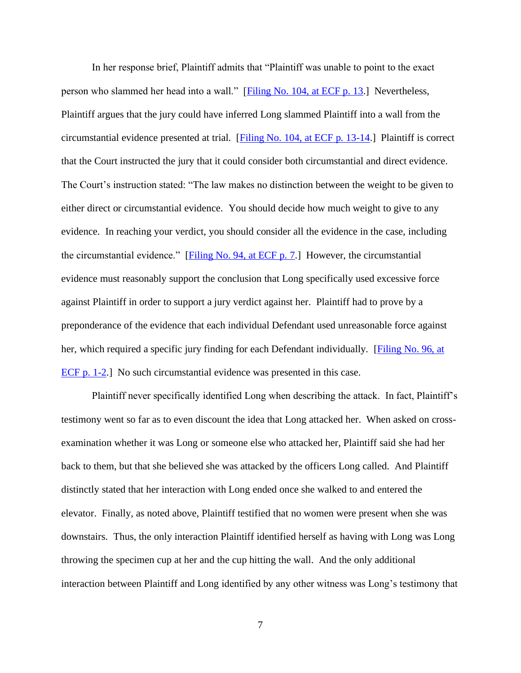In her response brief, Plaintiff admits that "Plaintiff was unable to point to the exact person who slammed her head into a wall." [\[Filing No. 104, at ECF p. 13.](https://ecf.insd.uscourts.gov/doc1/07317778597?page=13)] Nevertheless, Plaintiff argues that the jury could have inferred Long slammed Plaintiff into a wall from the circumstantial evidence presented at trial. [\[Filing No. 104, at ECF p. 13-14.](https://ecf.insd.uscourts.gov/doc1/07317778597?page=13)] Plaintiff is correct that the Court instructed the jury that it could consider both circumstantial and direct evidence. The Court's instruction stated: "The law makes no distinction between the weight to be given to either direct or circumstantial evidence. You should decide how much weight to give to any evidence. In reaching your verdict, you should consider all the evidence in the case, including the circumstantial evidence." [\[Filing No. 94, at ECF p. 7.](https://ecf.insd.uscourts.gov/doc1/07317730068?page=7)] However, the circumstantial evidence must reasonably support the conclusion that Long specifically used excessive force against Plaintiff in order to support a jury verdict against her. Plaintiff had to prove by a preponderance of the evidence that each individual Defendant used unreasonable force against her, which required a specific jury finding for each Defendant individually. [\[Filing No. 96, at](https://ecf.insd.uscourts.gov/doc1/07317730171?page=1)  [ECF p. 1-2.](https://ecf.insd.uscourts.gov/doc1/07317730171?page=1)] No such circumstantial evidence was presented in this case.

Plaintiff never specifically identified Long when describing the attack. In fact, Plaintiff's testimony went so far as to even discount the idea that Long attacked her. When asked on crossexamination whether it was Long or someone else who attacked her, Plaintiff said she had her back to them, but that she believed she was attacked by the officers Long called. And Plaintiff distinctly stated that her interaction with Long ended once she walked to and entered the elevator. Finally, as noted above, Plaintiff testified that no women were present when she was downstairs. Thus, the only interaction Plaintiff identified herself as having with Long was Long throwing the specimen cup at her and the cup hitting the wall. And the only additional interaction between Plaintiff and Long identified by any other witness was Long's testimony that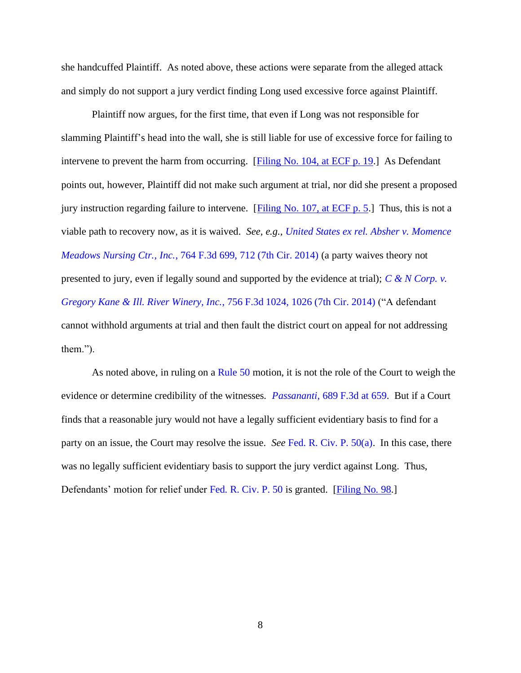she handcuffed Plaintiff. As noted above, these actions were separate from the alleged attack and simply do not support a jury verdict finding Long used excessive force against Plaintiff.

Plaintiff now argues, for the first time, that even if Long was not responsible for slamming Plaintiff's head into the wall, she is still liable for use of excessive force for failing to intervene to prevent the harm from occurring. [\[Filing No. 104, at ECF p. 19.](https://ecf.insd.uscourts.gov/doc1/07317778597?page=19)] As Defendant points out, however, Plaintiff did not make such argument at trial, nor did she present a proposed jury instruction regarding failure to intervene. [Filing No. 107, at ECF  $p. 5$ .] Thus, this is not a viable path to recovery now, as it is waived. *See, e.g., [United States ex rel. Absher v. Momence](https://www.westlaw.com/Document/Ia6f7afbc290611e4a795ac035416da91/View/FullText.html?transitionType=Default&contextData=(sc.Default)&VR=3.0&RS=da3.0&fragmentIdentifier=co_pp_sp_506_712)  Meadows Nursing Ctr., Inc.*[, 764 F.3d 699, 712 \(7th Cir. 2014\)](https://www.westlaw.com/Document/Ia6f7afbc290611e4a795ac035416da91/View/FullText.html?transitionType=Default&contextData=(sc.Default)&VR=3.0&RS=da3.0&fragmentIdentifier=co_pp_sp_506_712) (a party waives theory not presented to jury, even if legally sound and supported by the evidence at trial); *[C & N Corp. v.](https://www.westlaw.com/Document/I393b3100fbfb11e3a795ac035416da91/View/FullText.html?transitionType=Default&contextData=(sc.Default)&VR=3.0&RS=da3.0&fragmentIdentifier=co_pp_sp_506_1026)  [Gregory Kane & Ill. River Winery, Inc.](https://www.westlaw.com/Document/I393b3100fbfb11e3a795ac035416da91/View/FullText.html?transitionType=Default&contextData=(sc.Default)&VR=3.0&RS=da3.0&fragmentIdentifier=co_pp_sp_506_1026)*, 756 F.3d 1024, 1026 (7th Cir. 2014) ("A defendant cannot withhold arguments at trial and then fault the district court on appeal for not addressing them.").

As noted above, in ruling on a [Rule 50](https://www.westlaw.com/Document/ND49532A0B96611D8983DF34406B5929B/View/FullText.html?transitionType=Default&contextData=(sc.Default)&VR=3.0&RS=da3.0) motion, it is not the role of the Court to weigh the evidence or determine credibility of the witnesses. *Passananti*[, 689 F.3d at 659.](https://www.westlaw.com/Document/Ie8411c4ad2aa11e1b60ab297d3d07bc5/View/FullText.html?transitionType=Default&contextData=(sc.Default)&VR=3.0&RS=da3.0&fragmentIdentifier=co_pp_sp_506_659) But if a Court finds that a reasonable jury would not have a legally sufficient evidentiary basis to find for a party on an issue, the Court may resolve the issue. *See* [Fed. R. Civ. P. 50\(a\).](https://www.westlaw.com/Document/ND49532A0B96611D8983DF34406B5929B/View/FullText.html?transitionType=Default&contextData=(sc.Default)&VR=3.0&RS=da3.0) In this case, there was no legally sufficient evidentiary basis to support the jury verdict against Long. Thus, Defendants' motion for relief under [Fed. R. Civ. P. 50](https://www.westlaw.com/Document/ND49532A0B96611D8983DF34406B5929B/View/FullText.html?transitionType=Default&contextData=(sc.Default)&VR=3.0&RS=da3.0) is granted. [\[Filing No. 98.](https://ecf.insd.uscourts.gov/doc1/07317747986)]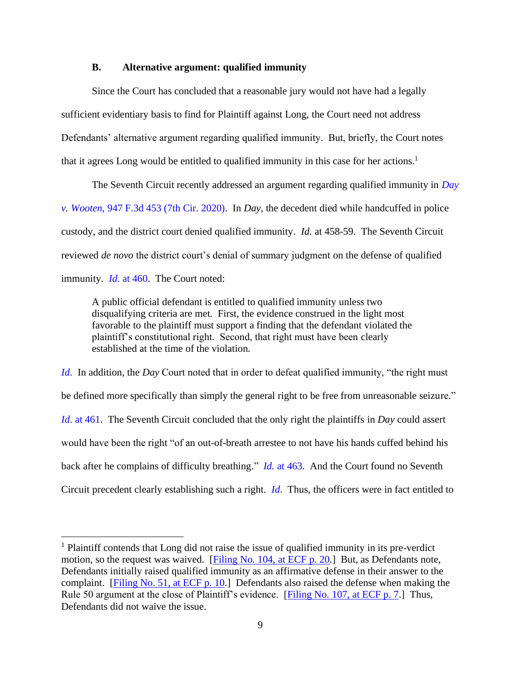### **B. Alternative argument: qualified immunity**

Since the Court has concluded that a reasonable jury would not have had a legally sufficient evidentiary basis to find for Plaintiff against Long, the Court need not address Defendants' alternative argument regarding qualified immunity. But, briefly, the Court notes that it agrees Long would be entitled to qualified immunity in this case for her actions. 1

The Seventh Circuit recently addressed an argument regarding qualified immunity in *[Day](https://www.westlaw.com/Document/If9caa48033f611eaa49a848616f1a2d2/View/FullText.html?transitionType=Default&contextData=(sc.Default)&VR=3.0&RS=da3.0)  v. Wooten*[, 947 F.3d 453 \(7th Cir. 2020\).](https://www.westlaw.com/Document/If9caa48033f611eaa49a848616f1a2d2/View/FullText.html?transitionType=Default&contextData=(sc.Default)&VR=3.0&RS=da3.0) In *Day*, the decedent died while handcuffed in police custody, and the district court denied qualified immunity. *Id*. at 458-59. The Seventh Circuit reviewed *de novo* the district court's denial of summary judgment on the defense of qualified immunity. *Id*[. at 460.](https://www.westlaw.com/Document/If9caa48033f611eaa49a848616f1a2d2/View/FullText.html?transitionType=Default&contextData=(sc.Default)&VR=3.0&RS=da3.0&fragmentIdentifier=co_pp_sp_506_460) The Court noted:

A public official defendant is entitled to qualified immunity unless two disqualifying criteria are met. First, the evidence construed in the light most favorable to the plaintiff must support a finding that the defendant violated the plaintiff's constitutional right. Second, that right must have been clearly established at the time of the violation.

*[Id](https://www.westlaw.com/Document/If9caa48033f611eaa49a848616f1a2d2/View/FullText.html?transitionType=Default&contextData=(sc.Default)&VR=3.0&RS=da3.0).* In addition, the *Day* Court noted that in order to defeat qualified immunity, "the right must be defined more specifically than simply the general right to be free from unreasonable seizure." *Id*[. at 461.](https://www.westlaw.com/Document/If9caa48033f611eaa49a848616f1a2d2/View/FullText.html?transitionType=Default&contextData=(sc.Default)&VR=3.0&RS=da3.0&fragmentIdentifier=co_pp_sp_506_461) The Seventh Circuit concluded that the only right the plaintiffs in *Day* could assert would have been the right "of an out-of-breath arrestee to not have his hands cuffed behind his back after he complains of difficulty breathing." *Id*[. at 463.](https://www.westlaw.com/Document/If9caa48033f611eaa49a848616f1a2d2/View/FullText.html?transitionType=Default&contextData=(sc.Default)&VR=3.0&RS=da3.0&fragmentIdentifier=co_pp_sp_506_463) And the Court found no Seventh Circuit precedent clearly establishing such a right. *[Id](https://www.westlaw.com/Document/If9caa48033f611eaa49a848616f1a2d2/View/FullText.html?transitionType=Default&contextData=(sc.Default)&VR=3.0&RS=da3.0)*. Thus, the officers were in fact entitled to

<sup>&</sup>lt;sup>1</sup> Plaintiff contends that Long did not raise the issue of qualified immunity in its pre-verdict motion, so the request was waived. [\[Filing No. 104, at ECF p. 20.](https://ecf.insd.uscourts.gov/doc1/07317778597?page=20)] But, as Defendants note, Defendants initially raised qualified immunity as an affirmative defense in their answer to the complaint. [\[Filing No. 51, at ECF p. 10.](https://ecf.insd.uscourts.gov/doc1/07317378282?page=10)] Defendants also raised the defense when making the Rule 50 argument at the close of Plaintiff's evidence. [\[Filing No. 107, at ECF p. 7.](https://ecf.insd.uscourts.gov/doc1/07317799938?page=7)] Thus, Defendants did not waive the issue.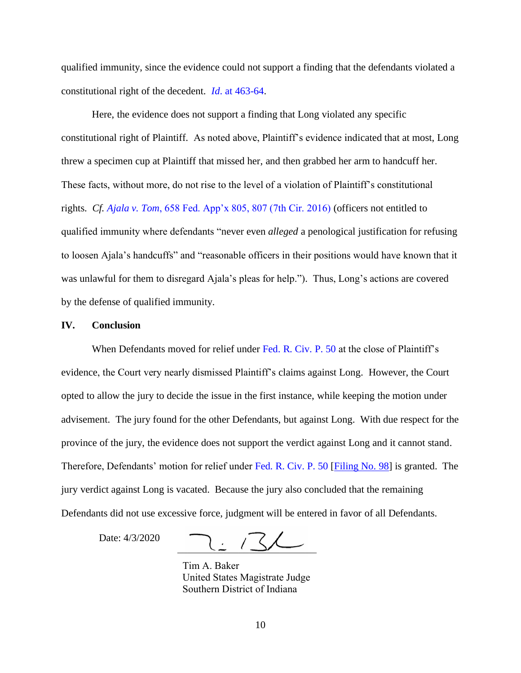qualified immunity, since the evidence could not support a finding that the defendants violated a constitutional right of the decedent. *Id*. at 463-64.

Here, the evidence does not support a finding that Long violated any specific constitutional right of Plaintiff. As noted above, Plaintiff's evidence indicated that at most, Long threw a specimen cup at Plaintiff that missed her, and then grabbed her arm to handcuff her. These facts, without more, do not rise to the level of a violation of Plaintiff's constitutional rights. *Cf. Ajala v. Tom*, 658 Fed. App'x 805, 807 (7th Cir. 2016) (officers not entitled to qualified immunity where defendants "never even *alleged* a penological justification for refusing to loosen Ajala's handcuffs" and "reasonable officers in their positions would have known that it was unlawful for them to disregard Ajala's pleas for help."). Thus, Long's actions are covered by the defense of qualified immunity.

#### **IV. Conclusion**

When Defendants moved for relief under Fed. R. Civ. P. 50 at the close of Plaintiff's evidence, the Court very nearly dismissed Plaintiff's claims against Long. However, the Court opted to allow the jury to decide the issue in the first instance, while keeping the motion under advisement. The jury found for the other Defendants, but against Long. With due respect for the province of the jury, the evidence does not support the verdict against Long and it cannot stand. Therefore, Defendants' motion for relief under Fed. R. Civ. P. 50 [Filing No. 98] is granted. The jury verdict against Long is vacated. Because the jury also concluded that the remaining Defendants did not use excessive force, judgment will be entered in favor of all Defendants.

Date: 4/3/2020

 $\frac{1}{2}$ 

 Tim A. Baker United States Magistrate Judge Southern District of Indiana